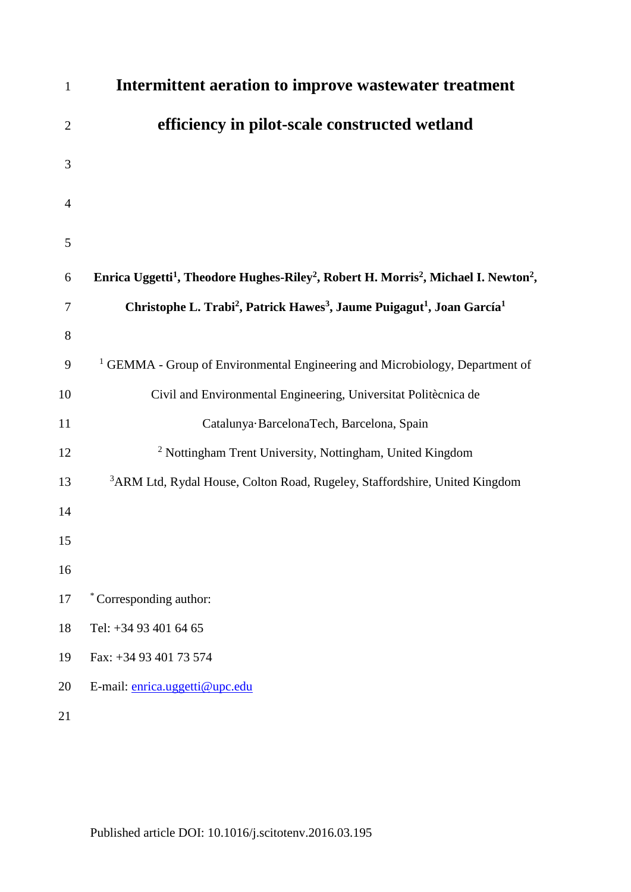| $\mathbf{1}$   | Intermittent aeration to improve wastewater treatment                                                                               |
|----------------|-------------------------------------------------------------------------------------------------------------------------------------|
| $\overline{2}$ | efficiency in pilot-scale constructed wetland                                                                                       |
| 3              |                                                                                                                                     |
| $\overline{4}$ |                                                                                                                                     |
| 5              |                                                                                                                                     |
| 6              | Enrica Uggetti <sup>1</sup> , Theodore Hughes-Riley <sup>2</sup> , Robert H. Morris <sup>2</sup> , Michael I. Newton <sup>2</sup> , |
| 7              | Christophe L. Trabi <sup>2</sup> , Patrick Hawes <sup>3</sup> , Jaume Puigagut <sup>1</sup> , Joan García <sup>1</sup>              |
| 8              |                                                                                                                                     |
| 9              | <sup>1</sup> GEMMA - Group of Environmental Engineering and Microbiology, Department of                                             |
| 10             | Civil and Environmental Engineering, Universitat Politècnica de                                                                     |
| 11             | Catalunya BarcelonaTech, Barcelona, Spain                                                                                           |
| 12             | <sup>2</sup> Nottingham Trent University, Nottingham, United Kingdom                                                                |
| 13             | <sup>3</sup> ARM Ltd, Rydal House, Colton Road, Rugeley, Staffordshire, United Kingdom                                              |
| 14             |                                                                                                                                     |
| 15             |                                                                                                                                     |
| 16             |                                                                                                                                     |
| 17             | *Corresponding author:                                                                                                              |
| 18             | Tel: +34 93 401 64 65                                                                                                               |
| 19             | Fax: +34 93 401 73 574                                                                                                              |
| 20             | E-mail: enrica.uggetti@upc.edu                                                                                                      |
| 21             |                                                                                                                                     |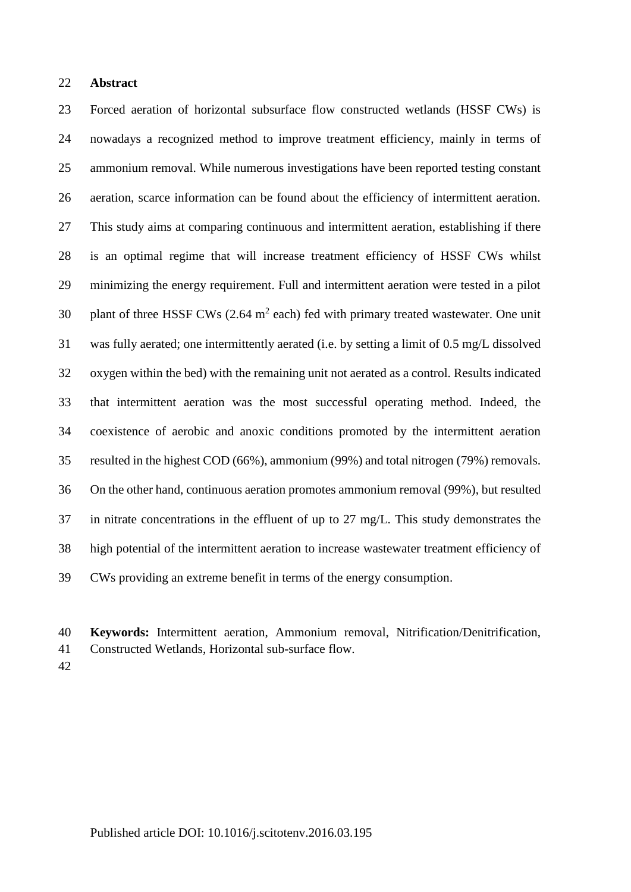#### **Abstract**

 Forced aeration of horizontal subsurface flow constructed wetlands (HSSF CWs) is nowadays a recognized method to improve treatment efficiency, mainly in terms of ammonium removal. While numerous investigations have been reported testing constant aeration, scarce information can be found about the efficiency of intermittent aeration. This study aims at comparing continuous and intermittent aeration, establishing if there is an optimal regime that will increase treatment efficiency of HSSF CWs whilst minimizing the energy requirement. Full and intermittent aeration were tested in a pilot 30 plant of three HSSF CWs  $(2.64 \text{ m}^2 \text{ each})$  fed with primary treated wastewater. One unit was fully aerated; one intermittently aerated (i.e. by setting a limit of 0.5 mg/L dissolved oxygen within the bed) with the remaining unit not aerated as a control. Results indicated that intermittent aeration was the most successful operating method. Indeed, the coexistence of aerobic and anoxic conditions promoted by the intermittent aeration resulted in the highest COD (66%), ammonium (99%) and total nitrogen (79%) removals. On the other hand, continuous aeration promotes ammonium removal (99%), but resulted in nitrate concentrations in the effluent of up to 27 mg/L. This study demonstrates the high potential of the intermittent aeration to increase wastewater treatment efficiency of CWs providing an extreme benefit in terms of the energy consumption.

- **Keywords:** Intermittent aeration, Ammonium removal, Nitrification/Denitrification,
- Constructed Wetlands, Horizontal sub-surface flow.
-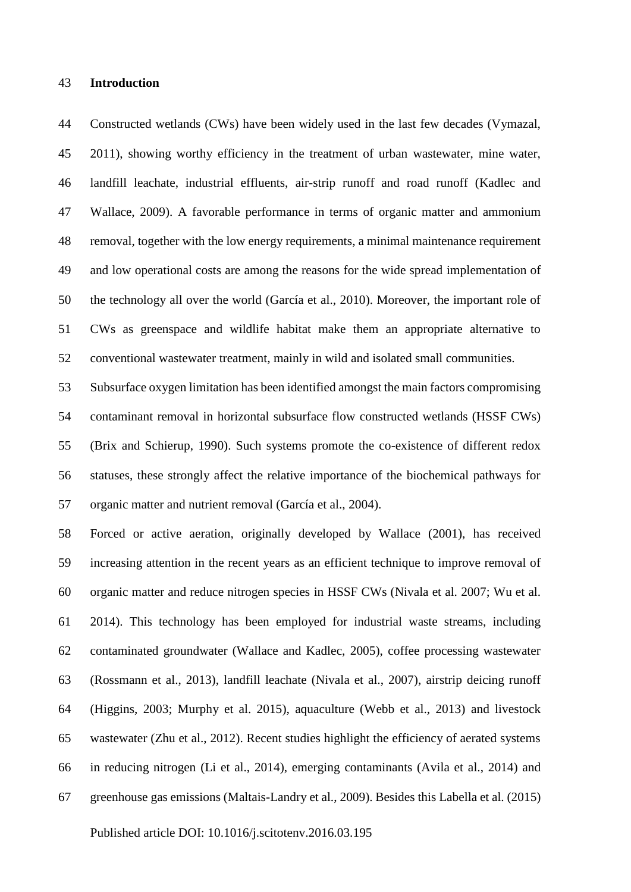#### **Introduction**

 Constructed wetlands (CWs) have been widely used in the last few decades (Vymazal, 2011), showing worthy efficiency in the treatment of urban wastewater, mine water, landfill leachate, industrial effluents, air-strip runoff and road runoff (Kadlec and Wallace, 2009). A favorable performance in terms of organic matter and ammonium removal, together with the low energy requirements, a minimal maintenance requirement and low operational costs are among the reasons for the wide spread implementation of the technology all over the world (García et al., 2010). Moreover, the important role of CWs as greenspace and wildlife habitat make them an appropriate alternative to conventional wastewater treatment, mainly in wild and isolated small communities.

 Subsurface oxygen limitation has been identified amongst the main factors compromising contaminant removal in horizontal subsurface flow constructed wetlands (HSSF CWs) (Brix and Schierup, 1990). Such systems promote the co-existence of different redox statuses, these strongly affect the relative importance of the biochemical pathways for organic matter and nutrient removal (García et al., 2004).

 Forced or active aeration, originally developed by Wallace (2001), has received increasing attention in the recent years as an efficient technique to improve removal of organic matter and reduce nitrogen species in HSSF CWs (Nivala et al. 2007; Wu et al. 2014). This technology has been employed for industrial waste streams, including contaminated groundwater (Wallace and Kadlec, 2005), coffee processing wastewater (Rossmann et al., 2013), landfill leachate (Nivala et al., 2007), airstrip deicing runoff (Higgins, 2003; Murphy et al. 2015), aquaculture (Webb et al., 2013) and livestock wastewater (Zhu et al., 2012). Recent studies highlight the efficiency of aerated systems in reducing nitrogen (Li et al., 2014), emerging contaminants (Avila et al., 2014) and greenhouse gas emissions (Maltais-Landry et al., 2009). Besides this Labella et al. (2015)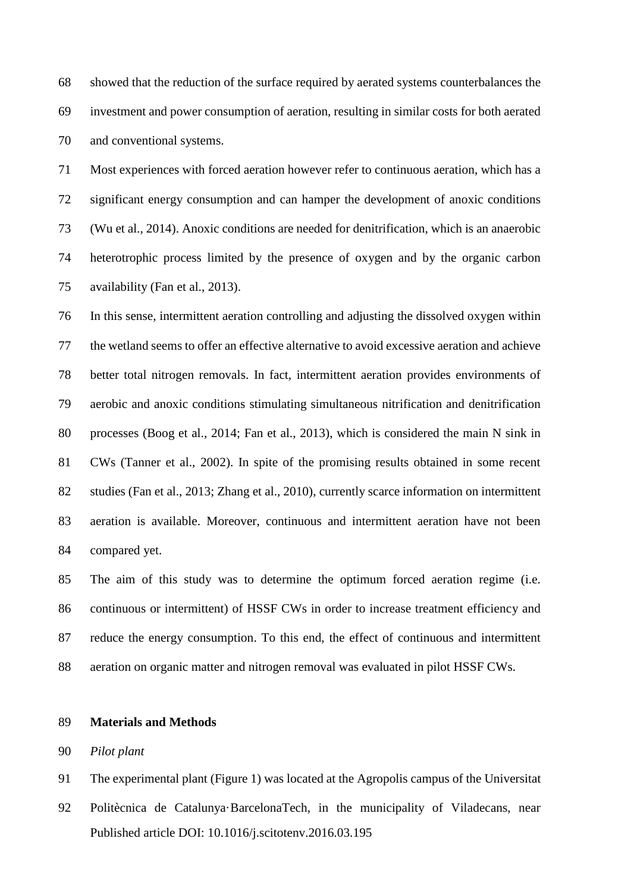showed that the reduction of the surface required by aerated systems counterbalances the investment and power consumption of aeration, resulting in similar costs for both aerated and conventional systems.

 Most experiences with forced aeration however refer to continuous aeration, which has a significant energy consumption and can hamper the development of anoxic conditions (Wu et al., 2014). Anoxic conditions are needed for denitrification, which is an anaerobic heterotrophic process limited by the presence of oxygen and by the organic carbon availability (Fan et al., 2013).

 In this sense, intermittent aeration controlling and adjusting the dissolved oxygen within the wetland seems to offer an effective alternative to avoid excessive aeration and achieve better total nitrogen removals. In fact, intermittent aeration provides environments of aerobic and anoxic conditions stimulating simultaneous nitrification and denitrification processes (Boog et al., 2014; Fan et al., 2013), which is considered the main N sink in CWs (Tanner et al., 2002). In spite of the promising results obtained in some recent studies (Fan et al., 2013; Zhang et al., 2010), currently scarce information on intermittent aeration is available. Moreover, continuous and intermittent aeration have not been compared yet.

 The aim of this study was to determine the optimum forced aeration regime (i.e. continuous or intermittent) of HSSF CWs in order to increase treatment efficiency and reduce the energy consumption. To this end, the effect of continuous and intermittent aeration on organic matter and nitrogen removal was evaluated in pilot HSSF CWs.

#### **Materials and Methods**

*Pilot plant*

The experimental plant (Figure 1) was located at the Agropolis campus of the Universitat

Published article DOI: 10.1016/j.scitotenv.2016.03.195 Politècnica de Catalunya·BarcelonaTech, in the municipality of Viladecans, near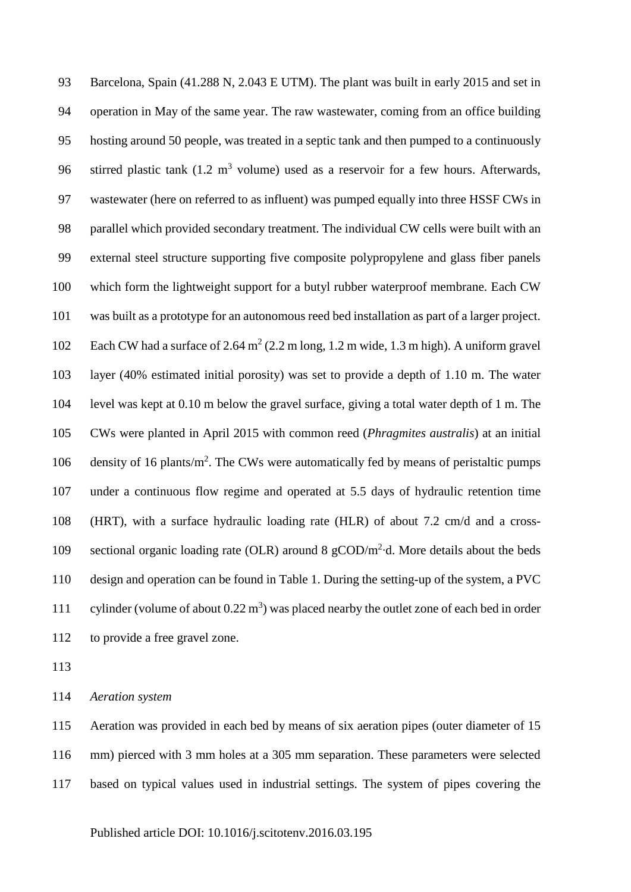Barcelona, Spain (41.288 N, 2.043 E UTM). The plant was built in early 2015 and set in operation in May of the same year. The raw wastewater, coming from an office building hosting around 50 people, was treated in a septic tank and then pumped to a continuously 96 stirred plastic tank  $(1.2 \text{ m}^3 \text{ volume})$  used as a reservoir for a few hours. Afterwards, wastewater (here on referred to as influent) was pumped equally into three HSSF CWs in parallel which provided secondary treatment. The individual CW cells were built with an external steel structure supporting five composite polypropylene and glass fiber panels which form the lightweight support for a butyl rubber waterproof membrane. Each CW was built as a prototype for an autonomous reed bed installation as part of a larger project. 102 Each CW had a surface of 2.64  $m^2$  (2.2 m long, 1.2 m wide, 1.3 m high). A uniform gravel layer (40% estimated initial porosity) was set to provide a depth of 1.10 m. The water level was kept at 0.10 m below the gravel surface, giving a total water depth of 1 m. The CWs were planted in April 2015 with common reed (*Phragmites australis*) at an initial 106 density of 16 plants/m<sup>2</sup>. The CWs were automatically fed by means of peristaltic pumps under a continuous flow regime and operated at 5.5 days of hydraulic retention time (HRT), with a surface hydraulic loading rate (HLR) of about 7.2 cm/d and a cross-109 sectional organic loading rate (OLR) around 8  $g$ COD/m<sup>2</sup> $\cdot$ d. More details about the beds design and operation can be found in Table 1. During the setting-up of the system, a PVC 111 cylinder (volume of about  $0.22 \text{ m}^3$ ) was placed nearby the outlet zone of each bed in order to provide a free gravel zone.

*Aeration system* 

 Aeration was provided in each bed by means of six aeration pipes (outer diameter of 15 mm) pierced with 3 mm holes at a 305 mm separation. These parameters were selected based on typical values used in industrial settings. The system of pipes covering the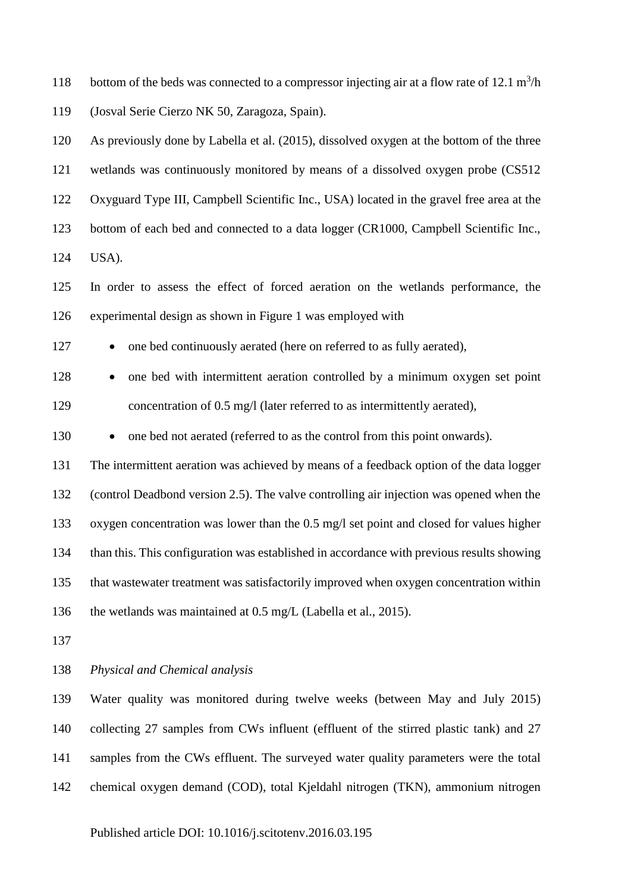118 bottom of the beds was connected to a compressor injecting air at a flow rate of 12.1  $m^3/h$ (Josval Serie Cierzo NK 50, Zaragoza, Spain).

 As previously done by Labella et al. (2015), dissolved oxygen at the bottom of the three wetlands was continuously monitored by means of a dissolved oxygen probe (CS512 Oxyguard Type III, Campbell Scientific Inc., USA) located in the gravel free area at the bottom of each bed and connected to a data logger (CR1000, Campbell Scientific Inc., USA).

 In order to assess the effect of forced aeration on the wetlands performance, the experimental design as shown in Figure 1 was employed with

127 • one bed continuously aerated (here on referred to as fully aerated),

128 • one bed with intermittent aeration controlled by a minimum oxygen set point 129 concentration of 0.5 mg/l (later referred to as intermittently aerated),

130 • one bed not aerated (referred to as the control from this point onwards).

 The intermittent aeration was achieved by means of a feedback option of the data logger (control Deadbond version 2.5). The valve controlling air injection was opened when the oxygen concentration was lower than the 0.5 mg/l set point and closed for values higher than this. This configuration was established in accordance with previous results showing that wastewater treatment was satisfactorily improved when oxygen concentration within the wetlands was maintained at 0.5 mg/L (Labella et al., 2015).

*Physical and Chemical analysis* 

 Water quality was monitored during twelve weeks (between May and July 2015) collecting 27 samples from CWs influent (effluent of the stirred plastic tank) and 27 samples from the CWs effluent. The surveyed water quality parameters were the total chemical oxygen demand (COD), total Kjeldahl nitrogen (TKN), ammonium nitrogen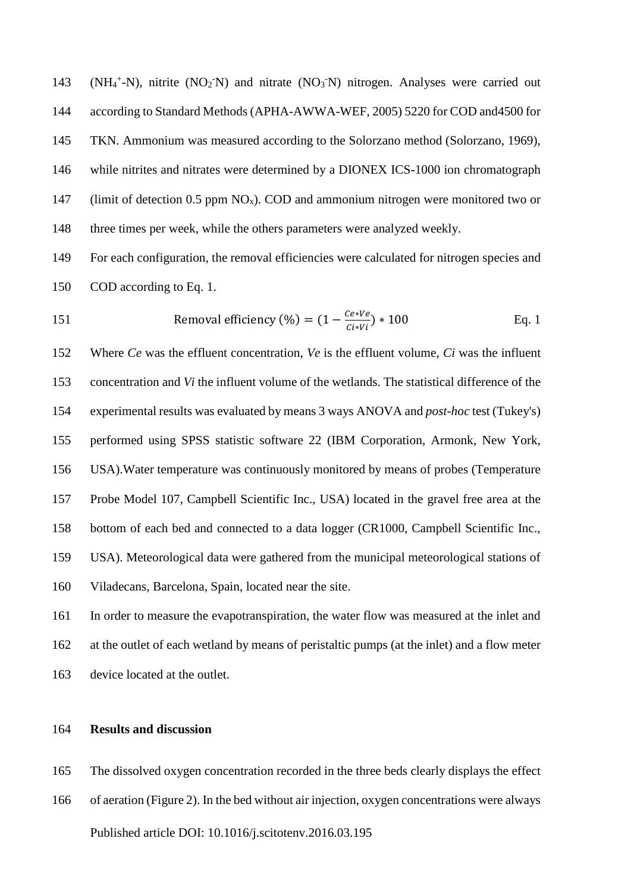143 (NH<sub>4</sub><sup>+</sup>-N), nitrite (NO<sub>2</sub><sup>-</sup>N) and nitrate (NO<sub>3</sub><sup>-</sup>N) nitrogen. Analyses were carried out according to Standard Methods (APHA-AWWA-WEF, 2005) 5220 for COD and4500 for TKN. Ammonium was measured according to the Solorzano method (Solorzano, 1969), while nitrites and nitrates were determined by a DIONEX ICS-1000 ion chromatograph 147 (limit of detection 0.5 ppm  $NO<sub>x</sub>$ ). COD and ammonium nitrogen were monitored two or three times per week, while the others parameters were analyzed weekly.

 For each configuration, the removal efficiencies were calculated for nitrogen species and COD according to Eq. 1.

151 Removal efficiency (
$$
\% = (1 - \frac{Ce*Ve}{Ci*Vi}) * 100
$$
 Eq. 1

 Where *Ce* was the effluent concentration, *Ve* is the effluent volume, *Ci* was the influent concentration and *Vi* the influent volume of the wetlands. The statistical difference of the experimental results was evaluated by means 3 ways ANOVA and *post-hoc* test (Tukey's) performed using SPSS statistic software 22 (IBM Corporation, Armonk, New York, USA).Water temperature was continuously monitored by means of probes (Temperature Probe Model 107, Campbell Scientific Inc., USA) located in the gravel free area at the bottom of each bed and connected to a data logger (CR1000, Campbell Scientific Inc., USA). Meteorological data were gathered from the municipal meteorological stations of Viladecans, Barcelona, Spain, located near the site.

 In order to measure the evapotranspiration, the water flow was measured at the inlet and at the outlet of each wetland by means of peristaltic pumps (at the inlet) and a flow meter device located at the outlet.

## **Results and discussion**

The dissolved oxygen concentration recorded in the three beds clearly displays the effect

Published article DOI: 10.1016/j.scitotenv.2016.03.195 of aeration (Figure 2). In the bed without air injection, oxygen concentrations were always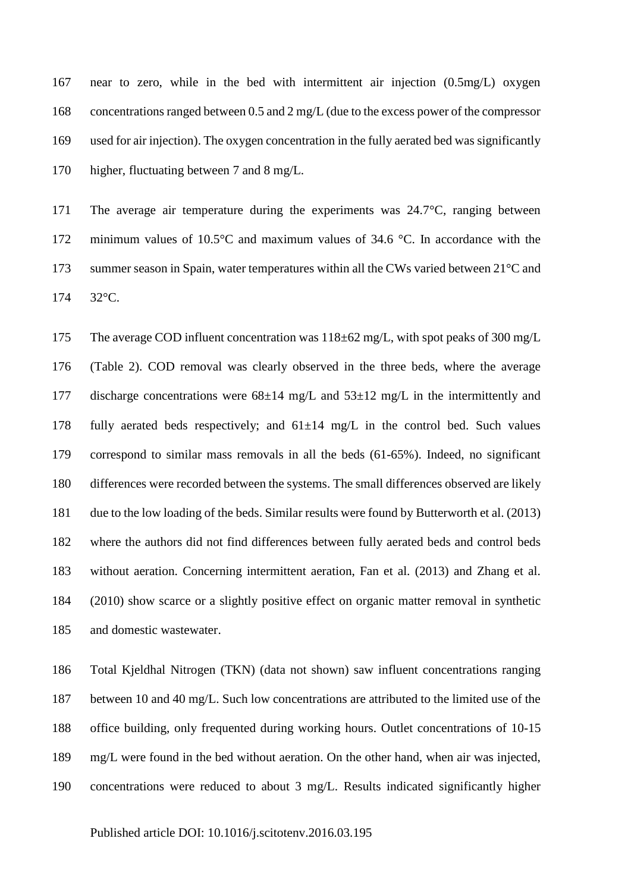near to zero, while in the bed with intermittent air injection (0.5mg/L) oxygen concentrations ranged between 0.5 and 2 mg/L (due to the excess power of the compressor used for air injection). The oxygen concentration in the fully aerated bed was significantly higher, fluctuating between 7 and 8 mg/L.

 The average air temperature during the experiments was 24.7°C, ranging between minimum values of 10.5°C and maximum values of 34.6 °C. In accordance with the 173 summer season in Spain, water temperatures within all the CWs varied between 21<sup>°</sup>C and 32°C.

 The average COD influent concentration was 118±62 mg/L, with spot peaks of 300 mg/L (Table 2). COD removal was clearly observed in the three beds, where the average 177 discharge concentrations were  $68\pm14$  mg/L and  $53\pm12$  mg/L in the intermittently and 178 fully aerated beds respectively; and  $61\pm14$  mg/L in the control bed. Such values correspond to similar mass removals in all the beds (61-65%). Indeed, no significant differences were recorded between the systems. The small differences observed are likely due to the low loading of the beds. Similar results were found by Butterworth et al. (2013) where the authors did not find differences between fully aerated beds and control beds without aeration. Concerning intermittent aeration, Fan et al. (2013) and Zhang et al. (2010) show scarce or a slightly positive effect on organic matter removal in synthetic and domestic wastewater.

 Total Kjeldhal Nitrogen (TKN) (data not shown) saw influent concentrations ranging between 10 and 40 mg/L. Such low concentrations are attributed to the limited use of the office building, only frequented during working hours. Outlet concentrations of 10-15 mg/L were found in the bed without aeration. On the other hand, when air was injected, concentrations were reduced to about 3 mg/L. Results indicated significantly higher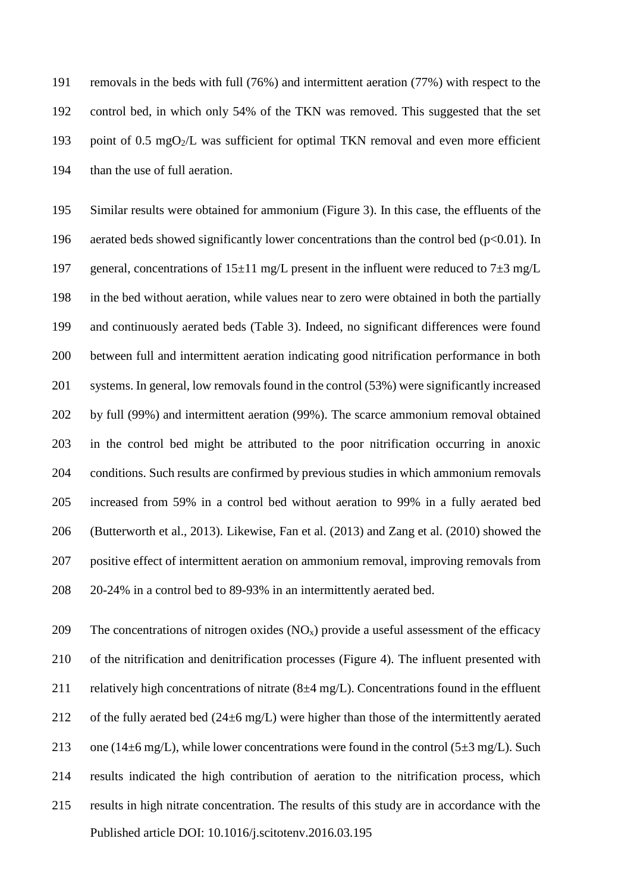removals in the beds with full (76%) and intermittent aeration (77%) with respect to the control bed, in which only 54% of the TKN was removed. This suggested that the set 193 point of 0.5 mgO $_2$ /L was sufficient for optimal TKN removal and even more efficient than the use of full aeration.

 Similar results were obtained for ammonium (Figure 3). In this case, the effluents of the 196 aerated beds showed significantly lower concentrations than the control bed  $(p<0.01)$ . In 197 general, concentrations of  $15\pm11$  mg/L present in the influent were reduced to  $7\pm3$  mg/L in the bed without aeration, while values near to zero were obtained in both the partially and continuously aerated beds (Table 3). Indeed, no significant differences were found between full and intermittent aeration indicating good nitrification performance in both systems. In general, low removals found in the control (53%) were significantly increased by full (99%) and intermittent aeration (99%). The scarce ammonium removal obtained in the control bed might be attributed to the poor nitrification occurring in anoxic conditions. Such results are confirmed by previous studies in which ammonium removals increased from 59% in a control bed without aeration to 99% in a fully aerated bed (Butterworth et al., 2013). Likewise, Fan et al. (2013) and Zang et al. (2010) showed the positive effect of intermittent aeration on ammonium removal, improving removals from 20-24% in a control bed to 89-93% in an intermittently aerated bed.

Published article DOI: 10.1016/j.scitotenv.2016.03.195 209 The concentrations of nitrogen oxides  $(NO_x)$  provide a useful assessment of the efficacy of the nitrification and denitrification processes (Figure 4). The influent presented with 211 relatively high concentrations of nitrate  $(8±4 mg/L)$ . Concentrations found in the effluent 212 of the fully aerated bed  $(24\pm6 \text{ mg/L})$  were higher than those of the intermittently aerated 213 one (14 $\pm$ 6 mg/L), while lower concentrations were found in the control (5 $\pm$ 3 mg/L). Such results indicated the high contribution of aeration to the nitrification process, which results in high nitrate concentration. The results of this study are in accordance with the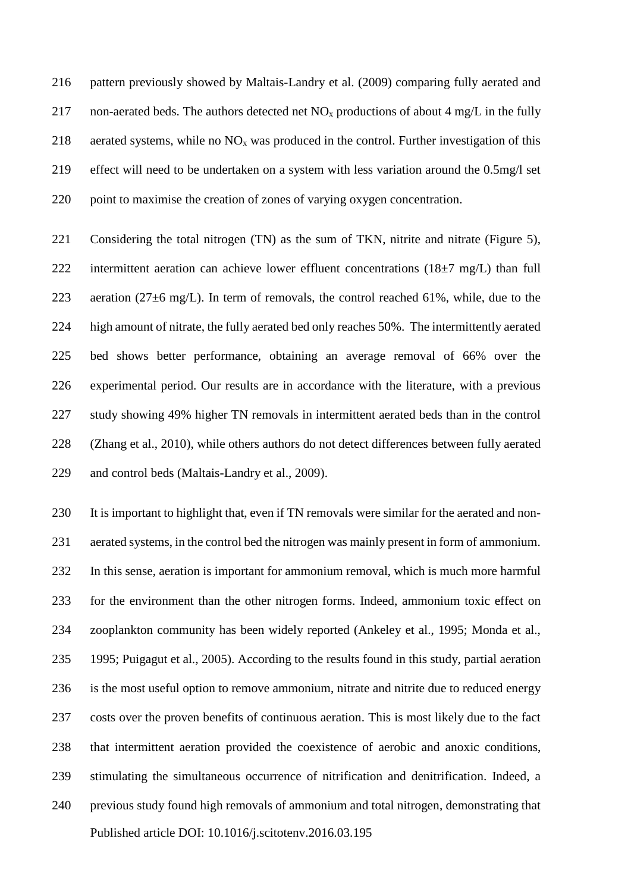pattern previously showed by Maltais-Landry et al. (2009) comparing fully aerated and 217 non-aerated beds. The authors detected net  $NO<sub>x</sub>$  productions of about 4 mg/L in the fully 218 aerated systems, while no  $NO<sub>x</sub>$  was produced in the control. Further investigation of this effect will need to be undertaken on a system with less variation around the 0.5mg/l set point to maximise the creation of zones of varying oxygen concentration.

221 Considering the total nitrogen (TN) as the sum of TKN, nitrite and nitrate (Figure 5), 222 intermittent aeration can achieve lower effluent concentrations  $(18\pm7 \text{ mg/L})$  than full 223 aeration (27 $\pm$ 6 mg/L). In term of removals, the control reached 61%, while, due to the high amount of nitrate, the fully aerated bed only reaches 50%. The intermittently aerated bed shows better performance, obtaining an average removal of 66% over the experimental period. Our results are in accordance with the literature, with a previous study showing 49% higher TN removals in intermittent aerated beds than in the control (Zhang et al., 2010), while others authors do not detect differences between fully aerated and control beds (Maltais-Landry et al., 2009).

Published article DOI: 10.1016/j.scitotenv.2016.03.195 It is important to highlight that, even if TN removals were similar for the aerated and non- aerated systems, in the control bed the nitrogen was mainly present in form of ammonium. In this sense, aeration is important for ammonium removal, which is much more harmful for the environment than the other nitrogen forms. Indeed, ammonium toxic effect on zooplankton community has been widely reported (Ankeley et al., 1995; Monda et al., 1995; Puigagut et al., 2005). According to the results found in this study, partial aeration is the most useful option to remove ammonium, nitrate and nitrite due to reduced energy costs over the proven benefits of continuous aeration. This is most likely due to the fact that intermittent aeration provided the coexistence of aerobic and anoxic conditions, stimulating the simultaneous occurrence of nitrification and denitrification. Indeed, a previous study found high removals of ammonium and total nitrogen, demonstrating that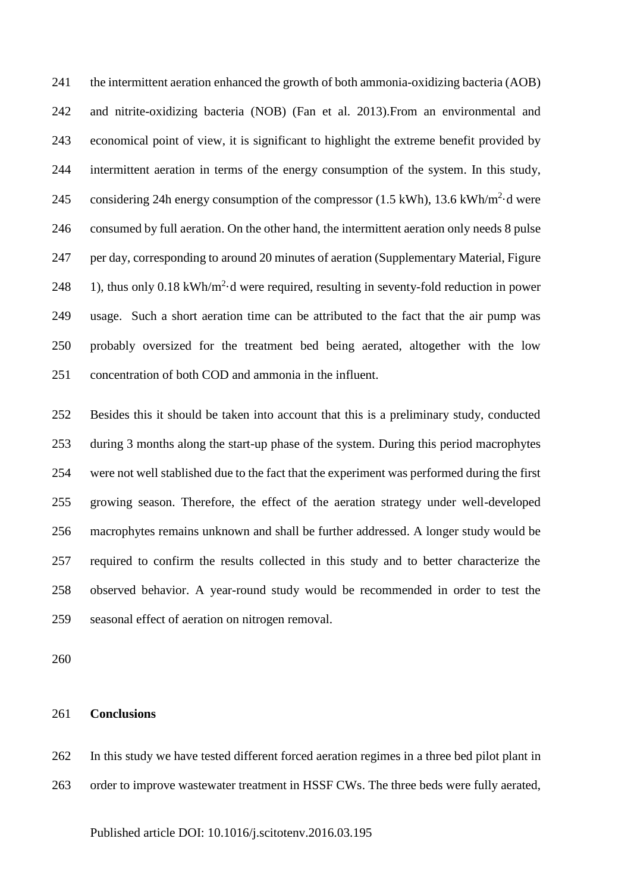the intermittent aeration enhanced the growth of both ammonia-oxidizing bacteria (AOB) and nitrite-oxidizing bacteria (NOB) (Fan et al. 2013).From an environmental and economical point of view, it is significant to highlight the extreme benefit provided by intermittent aeration in terms of the energy consumption of the system. In this study, 245 considering 24h energy consumption of the compressor  $(1.5 \text{ kWh})$ , 13.6 kWh/m<sup>2</sup> $\cdot$ d were consumed by full aeration. On the other hand, the intermittent aeration only needs 8 pulse per day, corresponding to around 20 minutes of aeration (Supplementary Material, Figure  $\cdot$  1), thus only 0.18 kWh/m<sup>2</sup> $\cdot$ d were required, resulting in seventy-fold reduction in power usage. Such a short aeration time can be attributed to the fact that the air pump was probably oversized for the treatment bed being aerated, altogether with the low concentration of both COD and ammonia in the influent.

 Besides this it should be taken into account that this is a preliminary study, conducted during 3 months along the start-up phase of the system. During this period macrophytes were not well stablished due to the fact that the experiment was performed during the first growing season. Therefore, the effect of the aeration strategy under well-developed macrophytes remains unknown and shall be further addressed. A longer study would be required to confirm the results collected in this study and to better characterize the observed behavior. A year-round study would be recommended in order to test the seasonal effect of aeration on nitrogen removal.

### **Conclusions**

 In this study we have tested different forced aeration regimes in a three bed pilot plant in order to improve wastewater treatment in HSSF CWs. The three beds were fully aerated,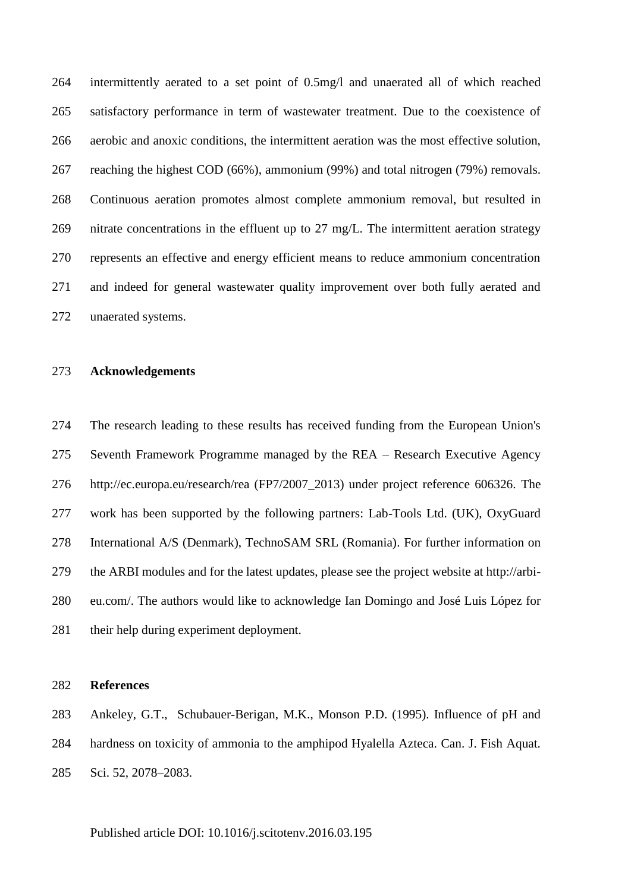intermittently aerated to a set point of 0.5mg/l and unaerated all of which reached satisfactory performance in term of wastewater treatment. Due to the coexistence of aerobic and anoxic conditions, the intermittent aeration was the most effective solution, reaching the highest COD (66%), ammonium (99%) and total nitrogen (79%) removals. Continuous aeration promotes almost complete ammonium removal, but resulted in nitrate concentrations in the effluent up to 27 mg/L. The intermittent aeration strategy represents an effective and energy efficient means to reduce ammonium concentration and indeed for general wastewater quality improvement over both fully aerated and unaerated systems.

#### **Acknowledgements**

 The research leading to these results has received funding from the European Union's Seventh Framework Programme managed by the REA – Research Executive Agency http://ec.europa.eu/research/rea (FP7/2007\_2013) under project reference 606326. The work has been supported by the following partners: Lab-Tools Ltd. (UK), OxyGuard International A/S (Denmark), TechnoSAM SRL (Romania). For further information on the ARBI modules and for the latest updates, please see the project website at http://arbi- eu.com/. The authors would like to acknowledge Ian Domingo and José Luis López for their help during experiment deployment.

#### **References**

 Ankeley, G.T., Schubauer-Berigan, M.K., Monson P.D. (1995). Influence of pH and hardness on toxicity of ammonia to the amphipod Hyalella Azteca. Can. J. Fish Aquat. Sci. 52, 2078–2083.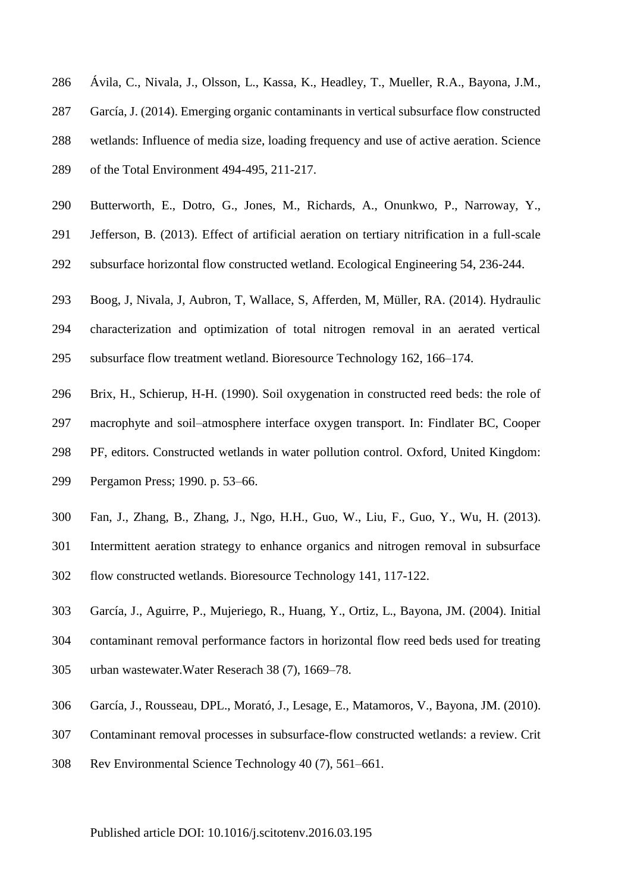- Ávila, C., Nivala, J., Olsson, L., Kassa, K., Headley, T., Mueller, R.A., Bayona, J.M.,
- García, J. (2014). Emerging organic contaminants in vertical subsurface flow constructed
- wetlands: Influence of media size, loading frequency and use of active aeration. Science
- of the Total Environment 494-495, 211-217.
- Butterworth, E., Dotro, G., Jones, M., Richards, A., Onunkwo, P., Narroway, Y.,
- Jefferson, B. (2013). Effect of artificial aeration on tertiary nitrification in a full-scale
- subsurface horizontal flow constructed wetland. Ecological Engineering 54, 236-244.
- Boog, J, Nivala, J, Aubron, T, Wallace, S, Afferden, M, Müller, RA. (2014). Hydraulic
- characterization and optimization of total nitrogen removal in an aerated vertical subsurface flow treatment wetland. Bioresource Technology 162, 166–174.
- Brix, H., Schierup, H-H. (1990). Soil oxygenation in constructed reed beds: the role of
- macrophyte and soil–atmosphere interface oxygen transport. In: Findlater BC, Cooper
- PF, editors. Constructed wetlands in water pollution control. Oxford, United Kingdom:
- Pergamon Press; 1990. p. 53–66.
- Fan, J., Zhang, B., Zhang, J., Ngo, H.H., Guo, W., Liu, F., Guo, Y., Wu, H. (2013).
- Intermittent aeration strategy to enhance organics and nitrogen removal in subsurface flow constructed wetlands. Bioresource Technology 141, 117-122.
- García, J., Aguirre, P., Mujeriego, R., Huang, Y., Ortiz, L., Bayona, JM. (2004). Initial
- contaminant removal performance factors in horizontal flow reed beds used for treating
- urban wastewater.Water Reserach 38 (7), 1669–78.
- García, J., Rousseau, DPL., Morató, J., Lesage, E., Matamoros, V., Bayona, JM. (2010).
- Contaminant removal processes in subsurface-flow constructed wetlands: a review. Crit
- Rev Environmental Science Technology 40 (7), 561–661.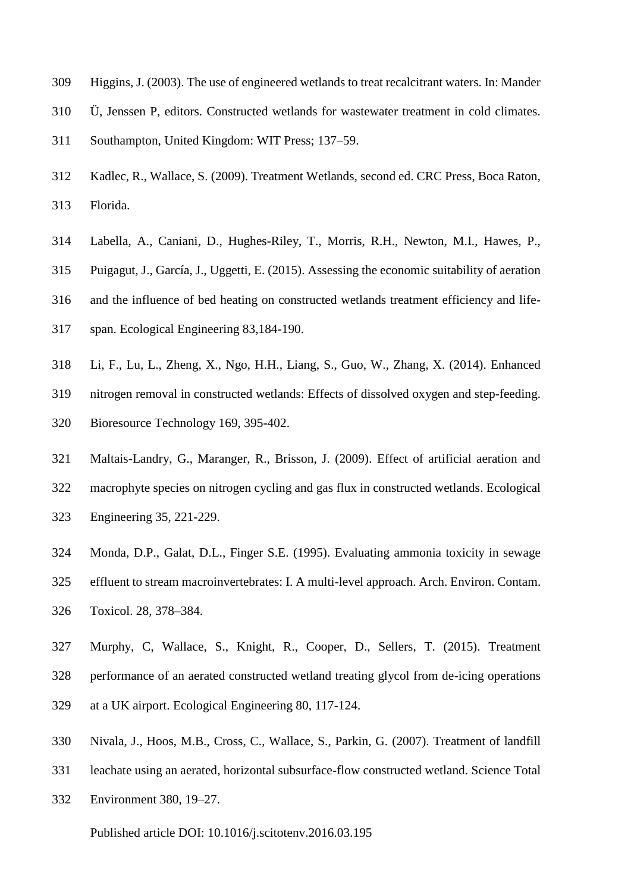- Higgins, J. (2003). The use of engineered wetlands to treat recalcitrant waters. In: Mander
- Ü, Jenssen P, editors. Constructed wetlands for wastewater treatment in cold climates.
- Southampton, United Kingdom: WIT Press; 137–59.
- Kadlec, R., Wallace, S. (2009). Treatment Wetlands, second ed. CRC Press, Boca Raton, Florida.
- Labella, A., Caniani, D., Hughes-Riley, T., Morris, R.H., Newton, M.I., Hawes, P.,
- Puigagut, J., García, J., Uggetti, E. (2015). Assessing the economic suitability of aeration
- and the influence of bed heating on constructed wetlands treatment efficiency and life-
- span. Ecological Engineering 83,184-190.
- Li, F., Lu, L., Zheng, X., Ngo, H.H., Liang, S., Guo, W., Zhang, X. (2014). Enhanced
- nitrogen removal in constructed wetlands: Effects of dissolved oxygen and step-feeding.
- Bioresource Technology 169, 395-402.
- Maltais-Landry, G., Maranger, R., Brisson, J. (2009). Effect of artificial aeration and
- macrophyte species on nitrogen cycling and gas flux in constructed wetlands. Ecological
- Engineering 35, 221-229.
- Monda, D.P., Galat, D.L., Finger S.E. (1995). Evaluating ammonia toxicity in sewage
- effluent to stream macroinvertebrates: I. A multi-level approach. Arch. Environ. Contam. Toxicol. 28, 378–384.
- Murphy, C, Wallace, S., Knight, R., Cooper, D., Sellers, T. (2015). Treatment
- performance of an aerated constructed wetland treating glycol from de-icing operations
- at a UK airport. Ecological Engineering 80, 117-124.
- Nivala, J., Hoos, M.B., Cross, C., Wallace, S., Parkin, G. (2007). Treatment of landfill
- leachate using an aerated, horizontal subsurface-flow constructed wetland. Science Total
- Environment 380, 19–27.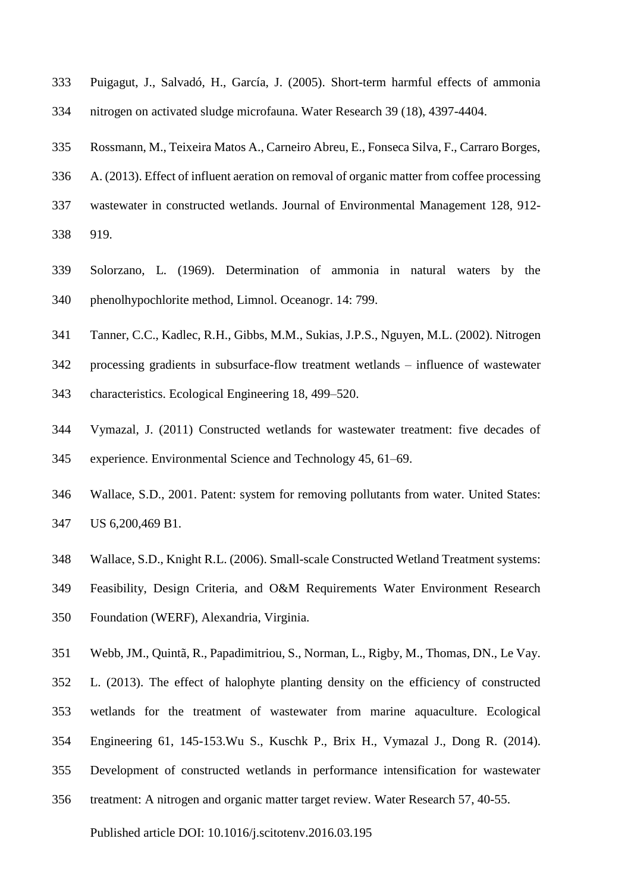- Puigagut, J., Salvadó, H., García, J. (2005). Short-term harmful effects of ammonia nitrogen on activated sludge microfauna. Water Research 39 (18), 4397-4404.
- Rossmann, M., Teixeira Matos A., Carneiro Abreu, E., Fonseca Silva, F., Carraro Borges,

A. (2013). Effect of influent aeration on removal of organic matter from coffee processing

- wastewater in constructed wetlands. Journal of Environmental Management 128, 912-
- 919.
- Solorzano, L. (1969). Determination of ammonia in natural waters by the phenolhypochlorite method, Limnol. Oceanogr. 14: 799.
- Tanner, C.C., Kadlec, R.H., Gibbs, M.M., Sukias, J.P.S., Nguyen, M.L. (2002). Nitrogen
- processing gradients in subsurface-flow treatment wetlands influence of wastewater
- characteristics. Ecological Engineering 18, 499–520.
- Vymazal, J. (2011) Constructed wetlands for wastewater treatment: five decades of experience. Environmental Science and Technology 45, 61–69.
- Wallace, S.D., 2001. Patent: system for removing pollutants from water. United States: US 6,200,469 B1.
- Wallace, S.D., Knight R.L. (2006). Small-scale Constructed Wetland Treatment systems:
- Feasibility, Design Criteria, and O&M Requirements Water Environment Research Foundation (WERF), Alexandria, Virginia.
- Webb, JM., Quintã, R., Papadimitriou, S., Norman, L., Rigby, M., Thomas, DN., Le Vay.
- L. (2013). The effect of halophyte planting density on the efficiency of constructed
- wetlands for the treatment of wastewater from marine aquaculture. Ecological
- Engineering 61, 145-153.Wu S., Kuschk P., Brix H., Vymazal J., Dong R. (2014).
- Development of constructed wetlands in performance intensification for wastewater
- treatment: A nitrogen and organic matter target review. Water Research 57, 40-55.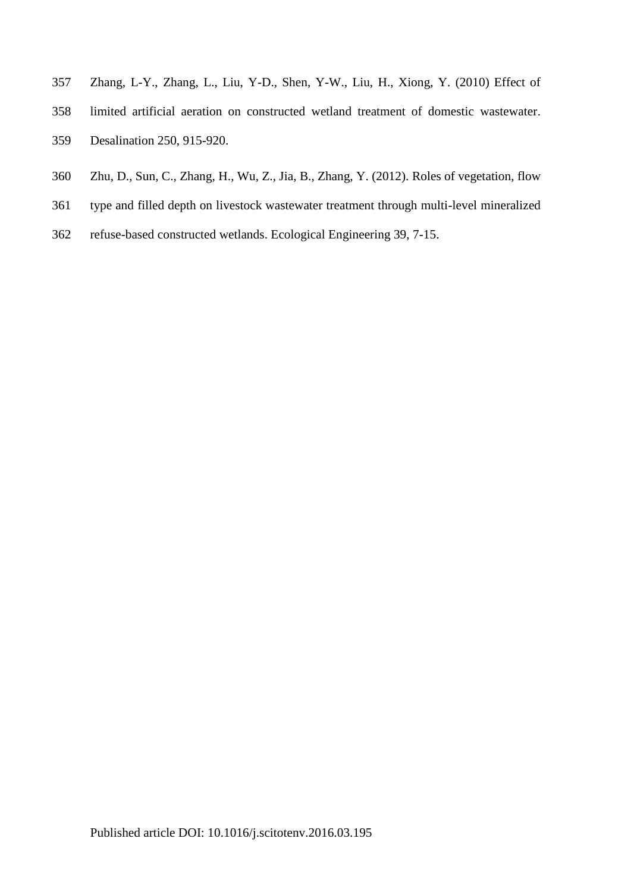- Zhang, L-Y., Zhang, L., Liu, Y-D., Shen, Y-W., Liu, H., Xiong, Y. (2010) Effect of
- limited artificial aeration on constructed wetland treatment of domestic wastewater. Desalination 250, 915-920.
- Zhu, D., Sun, C., Zhang, H., Wu, Z., Jia, B., Zhang, Y. (2012). Roles of vegetation, flow
- type and filled depth on livestock wastewater treatment through multi-level mineralized
- refuse-based constructed wetlands. Ecological Engineering 39, 7-15.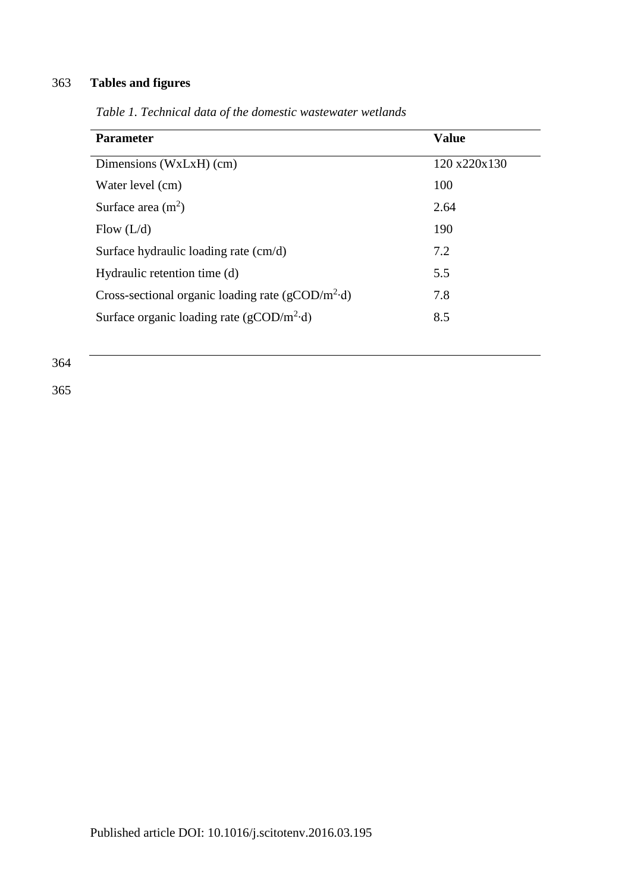# 363 **Tables and figures**

| <b>Parameter</b>                                                  | <b>Value</b> |
|-------------------------------------------------------------------|--------------|
| Dimensions (WxLxH) (cm)                                           | 120 x220x130 |
| Water level (cm)                                                  | 100          |
| Surface area $(m2)$                                               | 2.64         |
| Flow $(L/d)$                                                      | 190          |
| Surface hydraulic loading rate (cm/d)                             | 7.2          |
| Hydraulic retention time (d)                                      | 5.5          |
| Cross-sectional organic loading rate ( $g$ COD/m <sup>2</sup> ·d) | 7.8          |
| Surface organic loading rate ( $g\text{COD/m}^2$ -d)              | 8.5          |
|                                                                   |              |

*Table 1. Technical data of the domestic wastewater wetlands*

364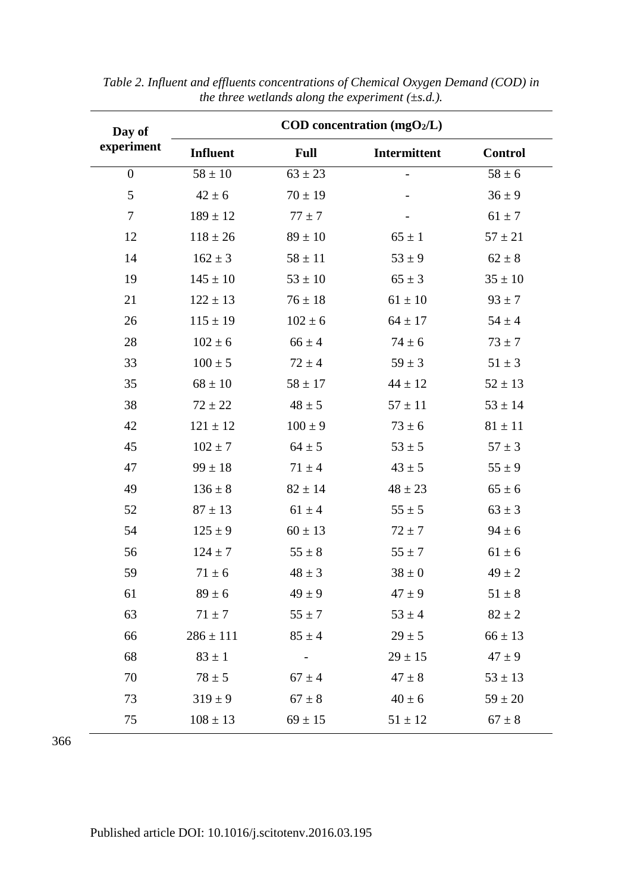| Day of         | COD concentration $(mgO2/L)$ |                              |              |                |  |  |  |  |
|----------------|------------------------------|------------------------------|--------------|----------------|--|--|--|--|
| experiment     | <b>Influent</b>              | <b>Full</b>                  | Intermittent | <b>Control</b> |  |  |  |  |
| $\overline{0}$ | $58 \pm 10$                  | $63 \pm 23$                  |              | $58 \pm 6$     |  |  |  |  |
| 5              | $42 \pm 6$                   | $70 \pm 19$                  |              | $36 \pm 9$     |  |  |  |  |
| $\tau$         | $189 \pm 12$                 | $77 \pm 7$                   |              | $61 \pm 7$     |  |  |  |  |
| 12             | $118 \pm 26$                 | $89 \pm 10$                  | $65 \pm 1$   | $57 \pm 21$    |  |  |  |  |
| 14             | $162 \pm 3$                  | $58 \pm 11$                  | $53 \pm 9$   | $62 \pm 8$     |  |  |  |  |
| 19             | $145 \pm 10$                 | $53 \pm 10$                  | $65 \pm 3$   | $35 \pm 10$    |  |  |  |  |
| 21             | $122 \pm 13$                 | $76 \pm 18$                  | $61 \pm 10$  | $93 \pm 7$     |  |  |  |  |
| 26             | $115 \pm 19$                 | $102 \pm 6$                  | $64 \pm 17$  | $54\pm4$       |  |  |  |  |
| 28             | $102 \pm 6$                  | $66 \pm 4$                   | $74 \pm 6$   | $73 \pm 7$     |  |  |  |  |
| 33             | $100 \pm 5$                  | $72 \pm 4$                   | $59 \pm 3$   | $51 \pm 3$     |  |  |  |  |
| 35             | $68 \pm 10$                  | $58 \pm 17$                  | $44 \pm 12$  | $52 \pm 13$    |  |  |  |  |
| 38             | $72 \pm 22$                  | $48 \pm 5$                   | $57 \pm 11$  | $53 \pm 14$    |  |  |  |  |
| 42             | $121 \pm 12$                 | $100 \pm 9$                  | $73 \pm 6$   | $81 \pm 11$    |  |  |  |  |
| 45             | $102 \pm 7$                  | $64 \pm 5$                   | $53 \pm 5$   | $57 \pm 3$     |  |  |  |  |
| 47             | $99 \pm 18$                  | $71 \pm 4$                   | $43 \pm 5$   | $55 \pm 9$     |  |  |  |  |
| 49             | $136 \pm 8$                  | $82 \pm 14$                  | $48 \pm 23$  | $65 \pm 6$     |  |  |  |  |
| 52             | $87 \pm 13$                  | $61 \pm 4$                   | $55 \pm 5$   | $63 \pm 3$     |  |  |  |  |
| 54             | $125 \pm 9$                  | $60 \pm 13$                  | $72 \pm 7$   | $94 \pm 6$     |  |  |  |  |
| 56             | $124 \pm 7$                  | $55 \pm 8$                   | $55 \pm 7$   | $61 \pm 6$     |  |  |  |  |
| 59             | $71 \pm 6$                   | $48 \pm 3$                   | $38 \pm 0$   | $49 \pm 2$     |  |  |  |  |
| 61             | $89 \pm 6$                   | $49 \pm 9$                   | $47 \pm 9$   | $51 \pm 8$     |  |  |  |  |
| 63             | $71 \pm 7$                   | $55 \pm 7$                   | $53 \pm 4$   | $82 \pm 2$     |  |  |  |  |
| 66             | $286 \pm 111$                | $85 \pm 4$                   | $29 \pm 5$   | $66 \pm 13$    |  |  |  |  |
| 68             | $83 \pm 1$                   | $\qquad \qquad \blacksquare$ | $29 \pm 15$  | $47 \pm 9$     |  |  |  |  |
| 70             | $78 \pm 5$                   | $67 \pm 4$                   | $47 \pm 8$   | $53 \pm 13$    |  |  |  |  |
| 73             | $319 \pm 9$                  | $67 \pm 8$                   | $40 \pm 6$   | $59 \pm 20$    |  |  |  |  |
| 75             | $108 \pm 13$                 | $69 \pm 15$                  | $51 \pm 12$  | $67 \pm 8$     |  |  |  |  |

*Table 2. Influent and effluents concentrations of Chemical Oxygen Demand (COD) in the three wetlands along the experiment (±s.d.).*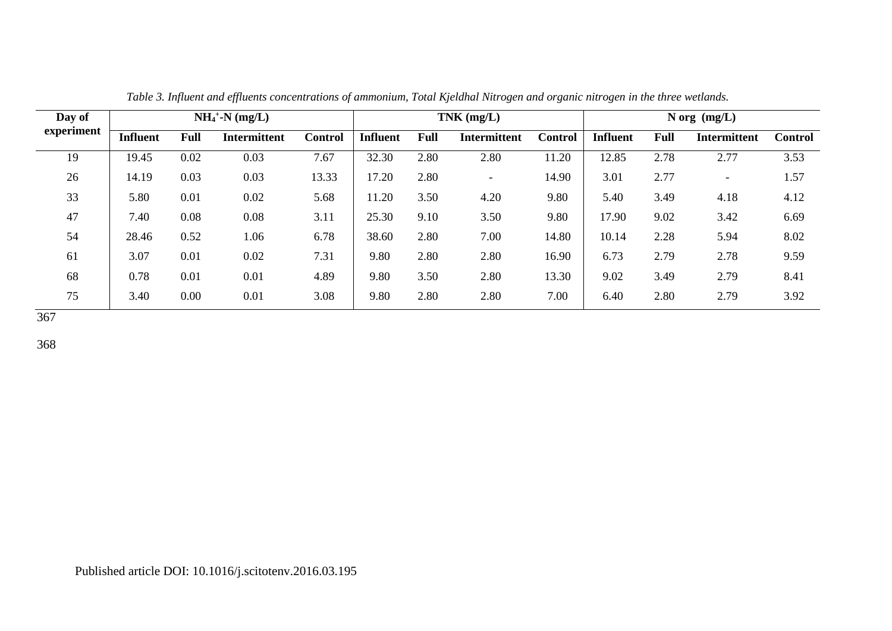| Day of     | $NH_4$ <sup>+</sup> -N (mg/L) |             |                     |                | $TNK$ (mg/L)    |      |                          | N org $(mg/L)$ |                 |             |                          |                |
|------------|-------------------------------|-------------|---------------------|----------------|-----------------|------|--------------------------|----------------|-----------------|-------------|--------------------------|----------------|
| experiment | <b>Influent</b>               | <b>Full</b> | <b>Intermittent</b> | <b>Control</b> | <b>Influent</b> | Full | <b>Intermittent</b>      | <b>Control</b> | <b>Influent</b> | <b>Full</b> | <b>Intermittent</b>      | <b>Control</b> |
| 19         | 19.45                         | 0.02        | 0.03                | 7.67           | 32.30           | 2.80 | 2.80                     | 11.20          | 12.85           | 2.78        | 2.77                     | 3.53           |
| 26         | 14.19                         | 0.03        | 0.03                | 13.33          | 17.20           | 2.80 | $\overline{\phantom{a}}$ | 14.90          | 3.01            | 2.77        | $\overline{\phantom{a}}$ | 1.57           |
| 33         | 5.80                          | 0.01        | 0.02                | 5.68           | 11.20           | 3.50 | 4.20                     | 9.80           | 5.40            | 3.49        | 4.18                     | 4.12           |
| 47         | 7.40                          | 0.08        | 0.08                | 3.11           | 25.30           | 9.10 | 3.50                     | 9.80           | 17.90           | 9.02        | 3.42                     | 6.69           |
| 54         | 28.46                         | 0.52        | 1.06                | 6.78           | 38.60           | 2.80 | 7.00                     | 14.80          | 10.14           | 2.28        | 5.94                     | 8.02           |
| 61         | 3.07                          | 0.01        | 0.02                | 7.31           | 9.80            | 2.80 | 2.80                     | 16.90          | 6.73            | 2.79        | 2.78                     | 9.59           |
| 68         | 0.78                          | 0.01        | 0.01                | 4.89           | 9.80            | 3.50 | 2.80                     | 13.30          | 9.02            | 3.49        | 2.79                     | 8.41           |
| 75         | 3.40                          | 0.00        | 0.01                | 3.08           | 9.80            | 2.80 | 2.80                     | 7.00           | 6.40            | 2.80        | 2.79                     | 3.92           |

*Table 3. Influent and effluents concentrations of ammonium, Total Kjeldhal Nitrogen and organic nitrogen in the three wetlands.*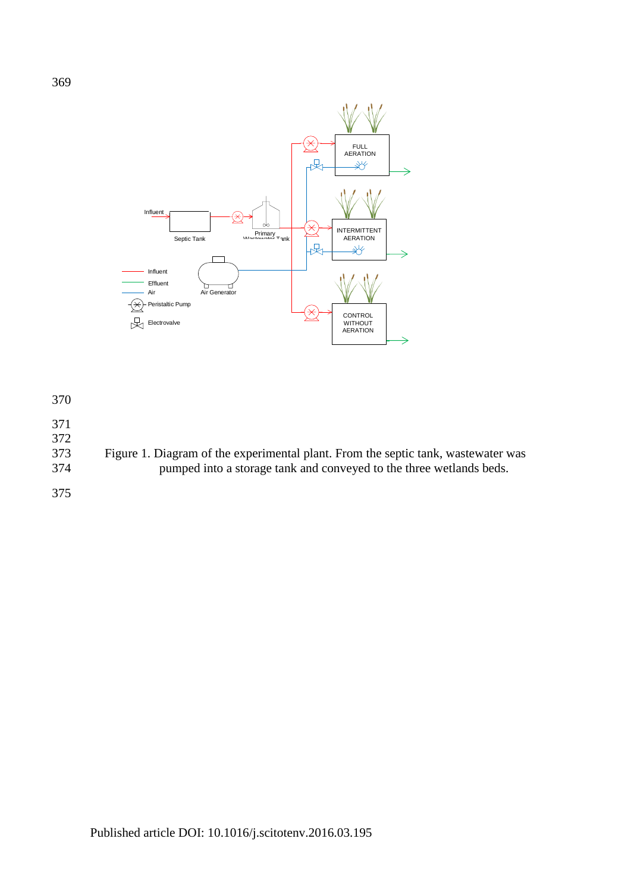

371

372

373 Figure 1. Diagram of the experimental plant. From the septic tank, wastewater was 374 pumped into a storage tank and conveyed to the three wetlands beds.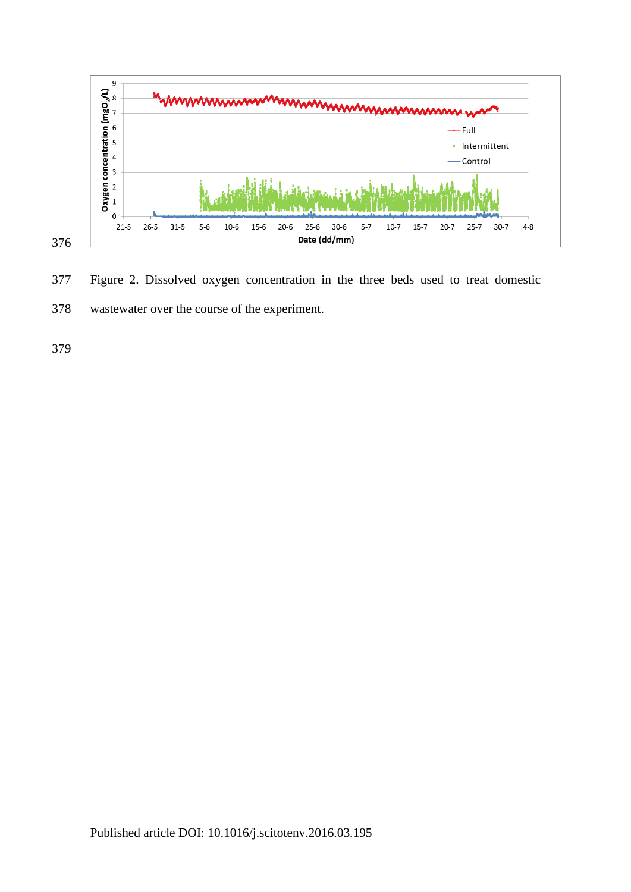

Figure 2. Dissolved oxygen concentration in the three beds used to treat domestic

wastewater over the course of the experiment.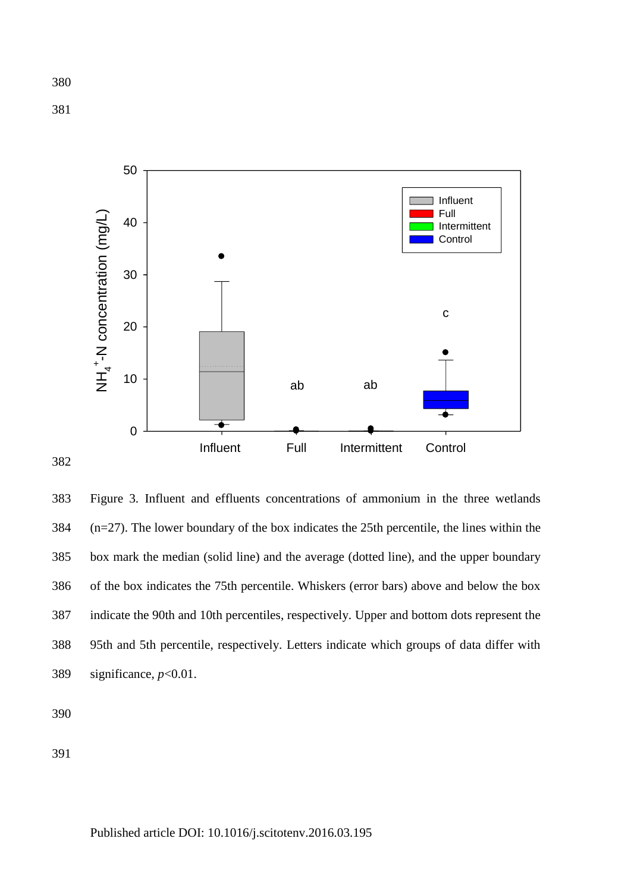

 Figure 3. Influent and effluents concentrations of ammonium in the three wetlands (n=27). The lower boundary of the box indicates the 25th percentile, the lines within the box mark the median (solid line) and the average (dotted line), and the upper boundary of the box indicates the 75th percentile. Whiskers (error bars) above and below the box indicate the 90th and 10th percentiles, respectively. Upper and bottom dots represent the 95th and 5th percentile, respectively. Letters indicate which groups of data differ with significance, *p*<0.01.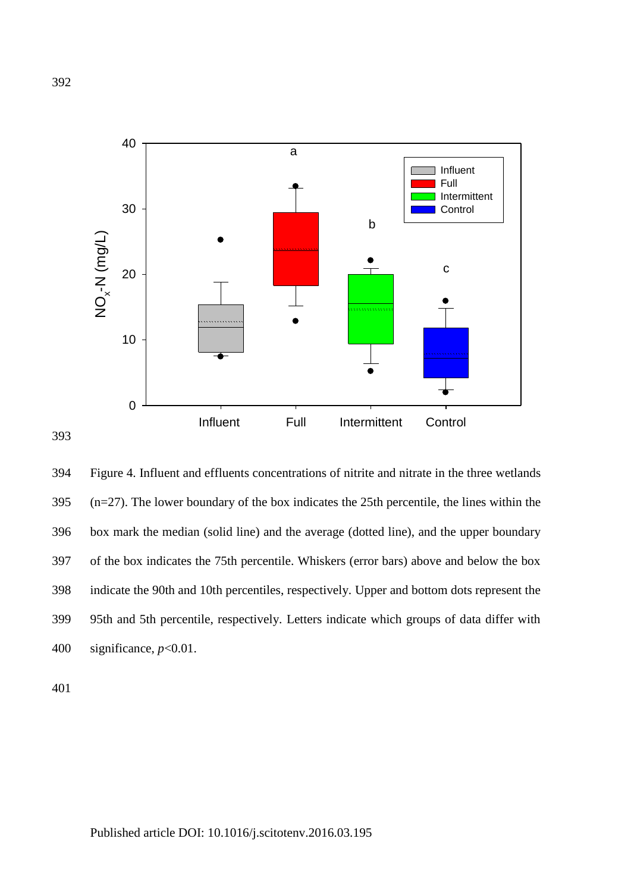

394 Figure 4. Influent and effluents concentrations of nitrite and nitrate in the three wetlands 395 (n=27). The lower boundary of the box indicates the 25th percentile, the lines within the 396 box mark the median (solid line) and the average (dotted line), and the upper boundary 397 of the box indicates the 75th percentile. Whiskers (error bars) above and below the box 398 indicate the 90th and 10th percentiles, respectively. Upper and bottom dots represent the 399 95th and 5th percentile, respectively. Letters indicate which groups of data differ with 400 significance, *p*<0.01.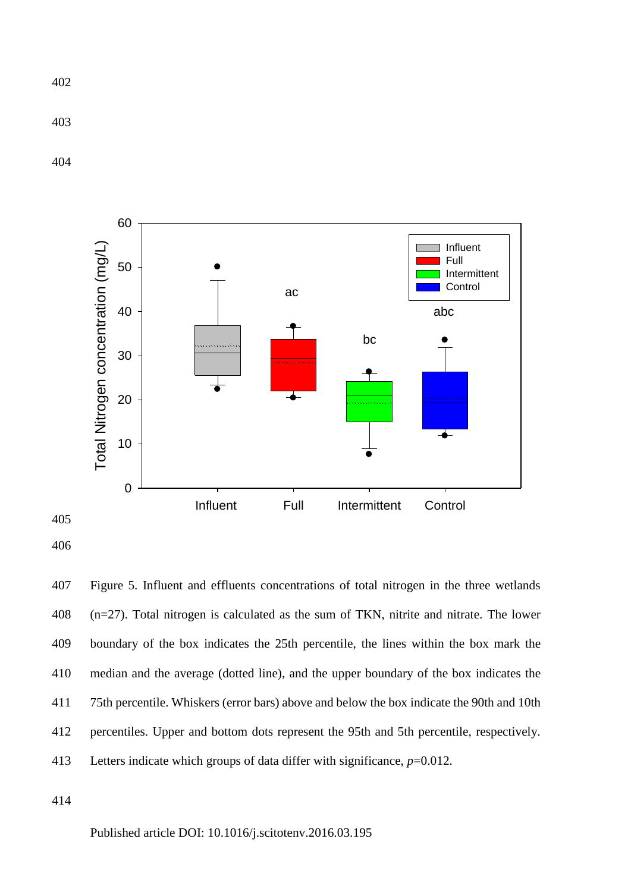



 Figure 5. Influent and effluents concentrations of total nitrogen in the three wetlands (n=27). Total nitrogen is calculated as the sum of TKN, nitrite and nitrate. The lower boundary of the box indicates the 25th percentile, the lines within the box mark the median and the average (dotted line), and the upper boundary of the box indicates the 75th percentile. Whiskers (error bars) above and below the box indicate the 90th and 10th percentiles. Upper and bottom dots represent the 95th and 5th percentile, respectively. Letters indicate which groups of data differ with significance, *p*=0.012.